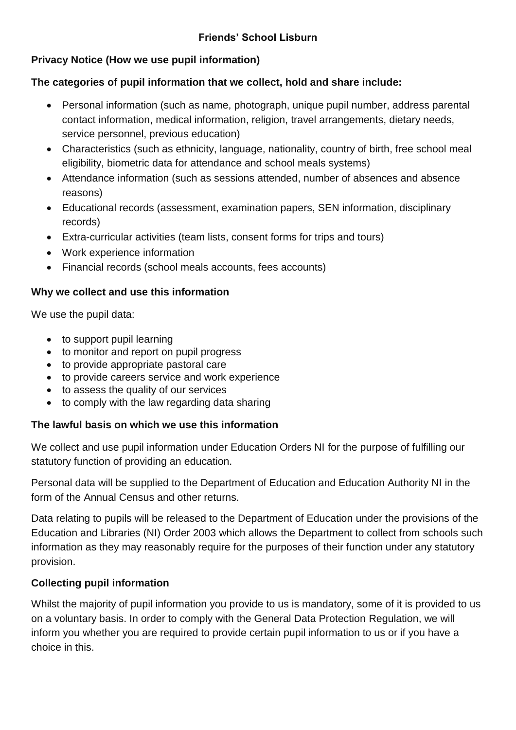# **Friends' School Lisburn**

## **Privacy Notice (How we use pupil information)**

### **The categories of pupil information that we collect, hold and share include:**

- Personal information (such as name, photograph, unique pupil number, address parental contact information, medical information, religion, travel arrangements, dietary needs, service personnel, previous education)
- Characteristics (such as ethnicity, language, nationality, country of birth, free school meal eligibility, biometric data for attendance and school meals systems)
- Attendance information (such as sessions attended, number of absences and absence reasons)
- Educational records (assessment, examination papers, SEN information, disciplinary records)
- Extra-curricular activities (team lists, consent forms for trips and tours)
- Work experience information
- Financial records (school meals accounts, fees accounts)

### **Why we collect and use this information**

We use the pupil data:

- to support pupil learning
- to monitor and report on pupil progress
- to provide appropriate pastoral care
- to provide careers service and work experience
- to assess the quality of our services
- to comply with the law regarding data sharing

### **The lawful basis on which we use this information**

We collect and use pupil information under Education Orders NI for the purpose of fulfilling our statutory function of providing an education.

Personal data will be supplied to the Department of Education and Education Authority NI in the form of the Annual Census and other returns.

Data relating to pupils will be released to the Department of Education under the provisions of the Education and Libraries (NI) Order 2003 which allows the Department to collect from schools such information as they may reasonably require for the purposes of their function under any statutory provision.

### **Collecting pupil information**

Whilst the majority of pupil information you provide to us is mandatory, some of it is provided to us on a voluntary basis. In order to comply with the General Data Protection Regulation, we will inform you whether you are required to provide certain pupil information to us or if you have a choice in this.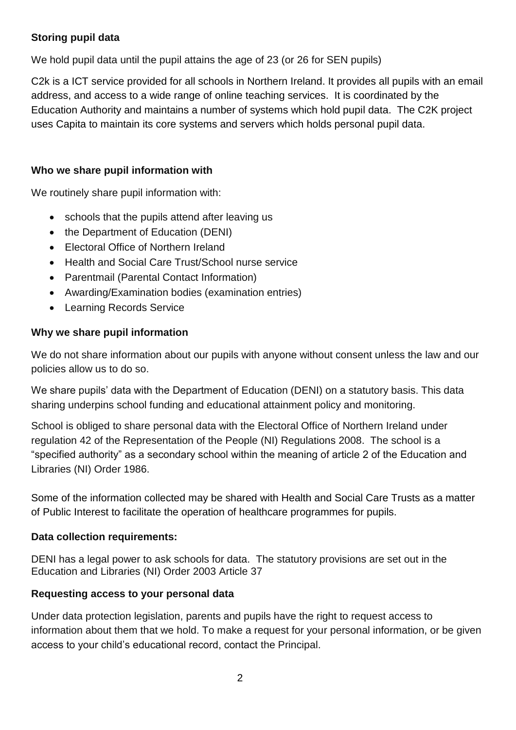## **Storing pupil data**

We hold pupil data until the pupil attains the age of 23 (or 26 for SEN pupils)

C2k is a ICT service provided for all schools in Northern Ireland. It provides all pupils with an email address, and access to a wide range of online teaching services. It is coordinated by the Education Authority and maintains a number of systems which hold pupil data. The C2K project uses Capita to maintain its core systems and servers which holds personal pupil data.

## **Who we share pupil information with**

We routinely share pupil information with:

- schools that the pupils attend after leaving us
- the Department of Education (DENI)
- Electoral Office of Northern Ireland
- Health and Social Care Trust/School nurse service
- Parentmail (Parental Contact Information)
- Awarding/Examination bodies (examination entries)
- Learning Records Service

## **Why we share pupil information**

We do not share information about our pupils with anyone without consent unless the law and our policies allow us to do so.

We share pupils' data with the Department of Education (DENI) on a statutory basis. This data sharing underpins school funding and educational attainment policy and monitoring.

School is obliged to share personal data with the Electoral Office of Northern Ireland under regulation 42 of the Representation of the People (NI) Regulations 2008. The school is a "specified authority" as a secondary school within the meaning of article 2 of the Education and Libraries (NI) Order 1986.

Some of the information collected may be shared with Health and Social Care Trusts as a matter of Public Interest to facilitate the operation of healthcare programmes for pupils.

### **Data collection requirements:**

DENI has a legal power to ask schools for data. The statutory provisions are set out in the Education and Libraries (NI) Order 2003 Article 37

# **Requesting access to your personal data**

Under data protection legislation, parents and pupils have the right to request access to information about them that we hold. To make a request for your personal information, or be given access to your child's educational record, contact the Principal.